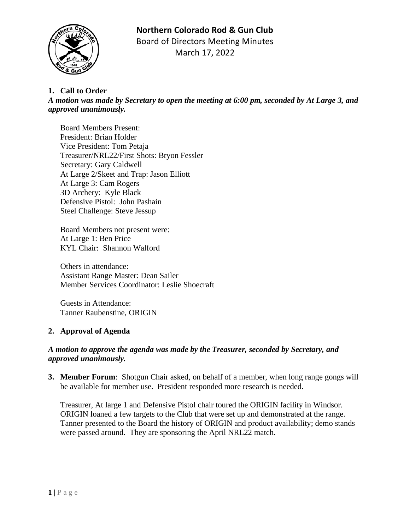# **Northern Colorado Rod & Gun Club**



Board of Directors Meeting Minutes March 17, 2022

## **1. Call to Order**

*A motion was made by Secretary to open the meeting at 6:00 pm, seconded by At Large 3, and approved unanimously.*

Board Members Present: President: Brian Holder Vice President: Tom Petaja Treasurer/NRL22/First Shots: Bryon Fessler Secretary: Gary Caldwell At Large 2/Skeet and Trap: Jason Elliott At Large 3: Cam Rogers 3D Archery: Kyle Black Defensive Pistol: John Pashain Steel Challenge: Steve Jessup

Board Members not present were: At Large 1: Ben Price KYL Chair: Shannon Walford

Others in attendance: Assistant Range Master: Dean Sailer Member Services Coordinator: Leslie Shoecraft

Guests in Attendance: Tanner Raubenstine, ORIGIN

## **2. Approval of Agenda**

#### *A motion to approve the agenda was made by the Treasurer, seconded by Secretary, and approved unanimously.*

**3. Member Forum**: Shotgun Chair asked, on behalf of a member, when long range gongs will be available for member use. President responded more research is needed.

Treasurer, At large 1 and Defensive Pistol chair toured the ORIGIN facility in Windsor. ORIGIN loaned a few targets to the Club that were set up and demonstrated at the range. Tanner presented to the Board the history of ORIGIN and product availability; demo stands were passed around. They are sponsoring the April NRL22 match.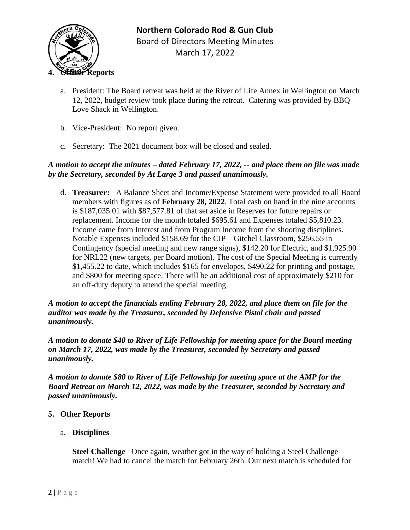

- a. President: The Board retreat was held at the River of Life Annex in Wellington on March 12, 2022, budget review took place during the retreat. Catering was provided by BBQ Love Shack in Wellington.
- b. Vice-President: No report given.
- c. Secretary: The 2021 document box will be closed and sealed.

## *A motion to accept the minutes – dated February 17, 2022, -- and place them on file was made by the Secretary, seconded by At Large 3 and passed unanimously.*

d. **Treasurer:** A Balance Sheet and Income/Expense Statement were provided to all Board members with figures as of **February 28, 2022**. Total cash on hand in the nine accounts is \$187,035.01 with \$87,577.81 of that set aside in Reserves for future repairs or replacement. Income for the month totaled \$695.61 and Expenses totaled \$5,810.23. Income came from Interest and from Program Income from the shooting disciplines. Notable Expenses included \$158.69 for the CIP – Gitchel Classroom, \$256.55 in Contingency (special meeting and new range signs), \$142.20 for Electric, and \$1,925.90 for NRL22 (new targets, per Board motion). The cost of the Special Meeting is currently \$1,455.22 to date, which includes \$165 for envelopes, \$490.22 for printing and postage, and \$800 for meeting space. There will be an additional cost of approximately \$210 for an off-duty deputy to attend the special meeting.

*A motion to accept the financials ending February 28, 2022, and place them on file for the auditor was made by the Treasurer, seconded by Defensive Pistol chair and passed unanimously.*

*A motion to donate \$40 to River of Life Fellowship for meeting space for the Board meeting on March 17, 2022, was made by the Treasurer, seconded by Secretary and passed unanimously.*

*A motion to donate \$80 to River of Life Fellowship for meeting space at the AMP for the Board Retreat on March 12, 2022, was made by the Treasurer, seconded by Secretary and passed unanimously.*

## **5. Other Reports**

a. **Disciplines**

**Steel Challenge** Once again, weather got in the way of holding a Steel Challenge match! We had to cancel the match for February 26th. Our next match is scheduled for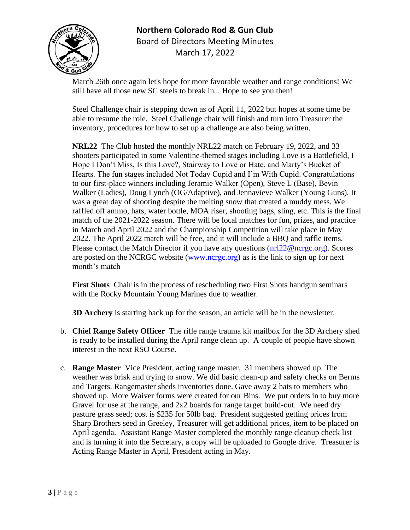

# **Northern Colorado Rod & Gun Club** Board of Directors Meeting Minutes March 17, 2022

March 26th once again let's hope for more favorable weather and range conditions! We still have all those new SC steels to break in... Hope to see you then!

Steel Challenge chair is stepping down as of April 11, 2022 but hopes at some time be able to resume the role. Steel Challenge chair will finish and turn into Treasurer the inventory, procedures for how to set up a challenge are also being written.

**NRL22** The Club hosted the monthly NRL22 match on February 19, 2022, and 33 shooters participated in some Valentine-themed stages including Love is a Battlefield, I Hope I Don't Miss, Is this Love?, Stairway to Love or Hate, and Marty's Bucket of Hearts. The fun stages included Not Today Cupid and I'm With Cupid. Congratulations to our first-place winners including Jeramie Walker (Open), Steve L (Base), Bevin Walker (Ladies), Doug Lynch (OG/Adaptive), and Jennavieve Walker (Young Guns). It was a great day of shooting despite the melting snow that created a muddy mess. We raffled off ammo, hats, water bottle, MOA riser, shooting bags, sling, etc. This is the final match of the 2021-2022 season. There will be local matches for fun, prizes, and practice in March and April 2022 and the Championship Competition will take place in May 2022. The April 2022 match will be free, and it will include a BBQ and raffle items. Please contact the Match Director if you have any questions (nrl22@ncrgc.org). Scores are posted on the NCRGC website (www.ncrgc.org) as is the link to sign up for next month's match

**First Shots** Chair is in the process of rescheduling two First Shots handgun seminars with the Rocky Mountain Young Marines due to weather.

**3D Archery** is starting back up for the season, an article will be in the newsletter.

- b. **Chief Range Safety Officer** The rifle range trauma kit mailbox for the 3D Archery shed is ready to be installed during the April range clean up. A couple of people have shown interest in the next RSO Course.
- c. **Range Master** Vice President, acting range master.31 members showed up. The weather was brisk and trying to snow. We did basic clean-up and safety checks on Berms and Targets. Rangemaster sheds inventories done. Gave away 2 hats to members who showed up. More Waiver forms were created for our Bins. We put orders in to buy more Gravel for use at the range, and 2x2 boards for range target build-out. We need dry pasture grass seed; cost is \$235 for 50lb bag. President suggested getting prices from Sharp Brothers seed in Greeley, Treasurer will get additional prices, item to be placed on April agenda. Assistant Range Master completed the monthly range cleanup check list and is turning it into the Secretary, a copy will be uploaded to Google drive. Treasurer is Acting Range Master in April, President acting in May.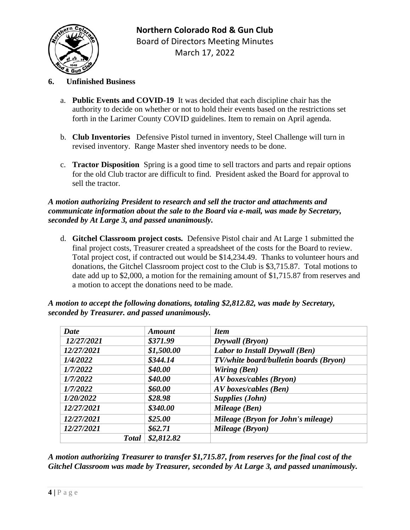## **6. Unfinished Business**

- a. **Public Events and COVID-19** It was decided that each discipline chair has the authority to decide on whether or not to hold their events based on the restrictions set forth in the Larimer County COVID guidelines. Item to remain on April agenda.
- b. **Club Inventories** Defensive Pistol turned in inventory, Steel Challenge will turn in revised inventory. Range Master shed inventory needs to be done.
- c. **Tractor Disposition** Spring is a good time to sell tractors and parts and repair options for the old Club tractor are difficult to find. President asked the Board for approval to sell the tractor.

#### *A motion authorizing President to research and sell the tractor and attachments and communicate information about the sale to the Board via e-mail, was made by Secretary, seconded by At Large 3, and passed unanimously.*

d. **Gitchel Classroom project costs.** Defensive Pistol chair and At Large 1 submitted the final project costs, Treasurer created a spreadsheet of the costs for the Board to review. Total project cost, if contracted out would be \$14,234.49. Thanks to volunteer hours and donations, the Gitchel Classroom project cost to the Club is \$3,715.87. Total motions to date add up to \$2,000, a motion for the remaining amount of \$1,715.87 from reserves and a motion to accept the donations need to be made.

| <b>Date</b> | <b>Amount</b>              | <b>Item</b>                            |
|-------------|----------------------------|----------------------------------------|
| 12/27/2021  | \$371.99                   | Drywall (Bryon)                        |
| 12/27/2021  | \$1,500.00                 | <b>Labor to Install Drywall (Ben)</b>  |
| 1/4/2022    | \$344.14                   | TV/white board/bulletin boards (Bryon) |
| 1/7/2022    | \$40.00                    | Wiring (Ben)                           |
| 1/7/2022    | \$40.00                    | <b>AV</b> boxes/cables (Bryon)         |
| 1/7/2022    | \$60.00                    | AV boxes/cables (Ben)                  |
| 1/20/2022   | \$28.98                    | <b>Supplies (John)</b>                 |
| 12/27/2021  | \$340.00                   | Mileage (Ben)                          |
| 12/27/2021  | \$25.00                    | Mileage (Bryon for John's mileage)     |
| 12/27/2021  | \$62.71                    | Mileage (Bryon)                        |
|             | \$2,812.82<br><b>Total</b> |                                        |

*A motion to accept the following donations, totaling \$2,812.82, was made by Secretary, seconded by Treasurer. and passed unanimously.*

*A motion authorizing Treasurer to transfer \$1,715.87, from reserves for the final cost of the Gitchel Classroom was made by Treasurer, seconded by At Large 3, and passed unanimously.*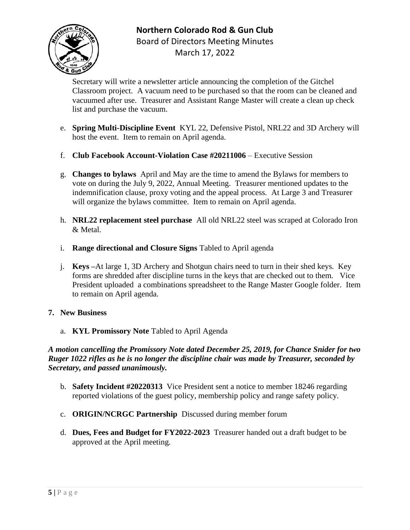## **Northern Colorado Rod & Gun Club** Board of Directors Meeting Minutes



March 17, 2022

Secretary will write a newsletter article announcing the completion of the Gitchel Classroom project. A vacuum need to be purchased so that the room can be cleaned and vacuumed after use. Treasurer and Assistant Range Master will create a clean up check list and purchase the vacuum.

- e. **Spring Multi-Discipline Event** KYL 22, Defensive Pistol, NRL22 and 3D Archery will host the event. Item to remain on April agenda.
- f. **Club Facebook Account-Violation Case #20211006**  Executive Session
- g. **Changes to bylaws** April and May are the time to amend the Bylaws for members to vote on during the July 9, 2022, Annual Meeting.Treasurer mentioned updates to the indemnification clause, proxy voting and the appeal process. At Large 3 and Treasurer will organize the bylaws committee. Item to remain on April agenda.
- h. **NRL22 replacement steel purchase** All old NRL22 steel was scraped at Colorado Iron & Metal.
- i. **Range directional and Closure Signs** Tabled to April agenda
- j. **Keys –**At large 1, 3D Archery and Shotgun chairs need to turn in their shed keys. Key forms are shredded after discipline turns in the keys that are checked out to them. Vice President uploaded a combinations spreadsheet to the Range Master Google folder. Item to remain on April agenda.

## **7. New Business**

a. **KYL Promissory Note** Tabled to April Agenda

## *A motion cancelling the Promissory Note dated December 25, 2019, for Chance Snider for two Ruger 1022 rifles as he is no longer the discipline chair was made by Treasurer, seconded by Secretary, and passed unanimously.*

- b. **Safety Incident #20220313** Vice President sent a notice to member 18246 regarding reported violations of the guest policy, membership policy and range safety policy.
- c. **ORIGIN/NCRGC Partnership** Discussed during member forum
- d. **Dues, Fees and Budget for FY2022-2023** Treasurer handed out a draft budget to be approved at the April meeting.